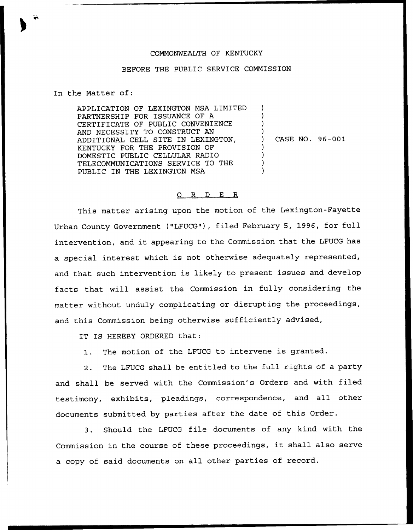## COMMONWEALTH OF KENTUCKY

## BEFORE THE PUBLIC SERVICE COMMISSION

In the Matter of:

APPLICATION OF LEXINGTON MSA LIMITED PARTNERSHIP FOR ISSUANCE OF A CERTIFICATE OF PUBLIC CONVENIENCE AND NECESSITY TO CONSTRUCT AN ADDITIONAL CELL SITE IN LEXINGTON, KENTUCKY FOR THE PROVISION OF DOMESTIC PUBLIC CELLULAR RADIO TELECOMMUNICATIONS SERVICE TO THE PUBLIC IN THE LEXINGTON MSA ) ) ) ) ) CASE NO. 96-001 ) ) ) )

## 0 R <sup>D</sup> E R

This matter arising upon the motion of the Lexington-Fayette Urban County Government ("LFUCG"), filed February 5, 1996, for full intervention, and it appearing to the Commission that the LFUCG has a special interest which is not otherwise adequately represented, and that such intervention is likely to present issues and develop facts that will assist the Commission in fully considering the matter without unduly complicating or disrupting the proceedings, and this Commission being otherwise sufficiently advised,

IT IS HEREBY ORDERED that:

1. The motion of the LFUCG to intervene is granted.

2. The LFUCG shall be entitled to the full rights of a party and shall be served with the Commission's Orders and with filed testimony, exhibits, pleadings, correspondence, and all other documents submitted by parties after the date of this Order.

3. Should the LFUCG file documents of any kind with the Commission in the course of these proceedings, it shall also serve a copy of said documents on all other parties of record.